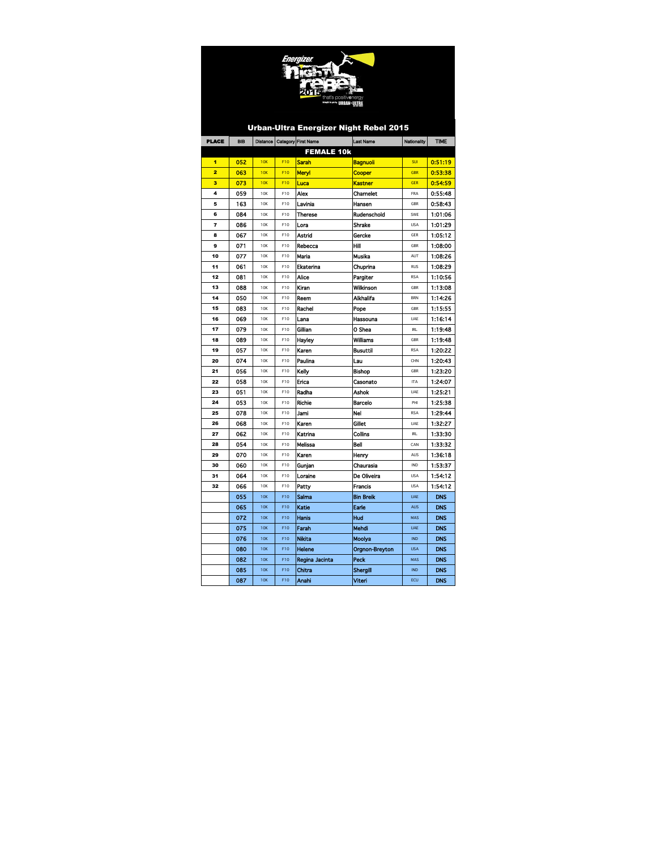

## Urban-Ultra Energizer Night Rebel 2015

| <b>PLACE</b> | <b>BIB</b> | Distance   |     | Category First Name | <b>Last Name</b>      | Nationality | <b>TIME</b> |
|--------------|------------|------------|-----|---------------------|-----------------------|-------------|-------------|
|              |            |            |     | <b>FEMALE 10k</b>   |                       |             |             |
| 1            | 052        | 10K        | F10 | <b>Sarah</b>        | <b>Bagnuoli</b>       | SUI         | 0:51:19     |
| 2            | 063        | 10K        | F10 | Meryl               | <b>Cooper</b>         | <b>GBR</b>  | 0:53:38     |
| 3            | 073        | 10K        | F10 | Luca                | <b>Kastner</b>        | <b>GER</b>  | 0:54:59     |
| 4            | 059        | 10K        | F10 | Alex                | Chamelet              | <b>FRA</b>  | 0:55:48     |
| 5            | 163        | 10K        | F10 | Lavinia             | Hansen                | <b>GBR</b>  | 0:58:43     |
| 6            | 084        | 10K        | F10 | <b>Therese</b>      | Rudenschold           | SWE         | 1:01:06     |
| 7            | 086        | 10K        | F10 | Lora                | Shrake                | <b>USA</b>  | 1:01:29     |
| 8            | 067        | 10K        | F10 | Astrid              | Gercke                | GER         | 1:05:12     |
| 9            | 071        | 10K        | F10 | Rebecca             | Hill                  | <b>GBR</b>  | 1:08:00     |
| 10           | 077        | 10K        | F10 | Maria               | Musika                | AUT         | 1:08:26     |
| 11           | 061        | 10K        | F10 | <b>Ekaterina</b>    | Chuprina              | <b>RUS</b>  | 1:08:29     |
| 12           | 081        | 10K        | F10 | Alice               | Pargiter              | <b>RSA</b>  | 1:10:56     |
| 13           | 088        | 10K        | F10 | Kiran               | Wilkinson             | GBR         | 1:13:08     |
| 14           | 050        | 10K        | F10 | Reem                | Alkhalifa             | <b>BRN</b>  | 1:14:26     |
| 15           | 083        | 10K        | F10 | Rachel              | Pope                  | <b>GBR</b>  | 1:15:55     |
| 16           | 069        | 10K        | F10 | Lana                | Hassouna              | UAE         | 1:16:14     |
| 17           | 079        | 10K        | F10 | Gillian             | O Shea                | <b>IRL</b>  | 1:19:48     |
| 18           | 089        | 10K        | F10 | Hayley              | Williams              | GBR         | 1:19:48     |
| 19           | 057        | 10K        | F10 | Karen               | <b>Busuttil</b>       | <b>RSA</b>  | 1:20:22     |
| 20           | 074        | 10K        | F10 | Paulina             | Lau                   | CHN         | 1:20:43     |
| 21           | 056        | 10K        | F10 | Kelly               | Bishop                | <b>GBR</b>  | 1:23:20     |
| 22           | 058        | 10K        | F10 | Erica               | Casonato              | <b>ITA</b>  | 1:24:07     |
| 23           | 051        | 10K        | F10 | Radha               | Ashok                 | UAE         | 1:25:21     |
| 24           | 053        | 10K        | F10 | Richie              | Barcelo               | PHI         | 1:25:38     |
| 25           | 078        | 10K        | F10 | Jami                | Nel                   | <b>RSA</b>  | 1:29:44     |
| 26           | 068        | 10K        | F10 | Karen               | Gillet                | UAE         | 1:32:27     |
| 27           | 062        | 10K        | F10 | Katrina             | Collins               | <b>IRL</b>  | 1:33:30     |
| 28           | 054        | 10K        | F10 | Melissa             | Bell                  | CAN         | 1:33:32     |
| 29           | 070        | 10K        | F10 | Karen               | Henry                 | AUS         | 1:36:18     |
| 30           | 060        | 10K        | F10 | Gunian              | Chaurasia             | <b>IND</b>  | 1:53:37     |
| 31           | 064        | 10K        | F10 | Loraine             | De Oliveira           | <b>USA</b>  | 1:54:12     |
| 32           | 066        | 10K        | F10 | Patty               | Francis               | <b>USA</b>  | 1:54:12     |
|              | 055        | 10K        | F10 | Salma               | <b>Bin Breik</b>      | <b>UAE</b>  | <b>DNS</b>  |
|              | 065        | <b>10K</b> | F10 | Katie               | Earle                 | <b>AUS</b>  | <b>DNS</b>  |
|              | 072        | 10K        | F10 | <b>Hanis</b>        | Hud                   | <b>MAS</b>  | <b>DNS</b>  |
|              | 075        | 10K        | F10 | Farah               | Mehdi                 | <b>UAE</b>  | <b>DNS</b>  |
|              | 076        | 10K        | F10 | Nikita              | Moolya                | <b>IND</b>  | <b>DNS</b>  |
|              | 080        | <b>10K</b> | F10 | Helene              | <b>Orgnon-Breyton</b> | <b>USA</b>  | <b>DNS</b>  |
|              | 082        | 10K        | F10 | Regina Jacinta      | Peck                  | <b>MAS</b>  | <b>DNS</b>  |
|              | 085        | 10K        | F10 | Chitra              | Shergill              | <b>IND</b>  | <b>DNS</b>  |
|              | 087        | 10K        | F10 | Anahi               | Viteri                | ECU         | <b>DNS</b>  |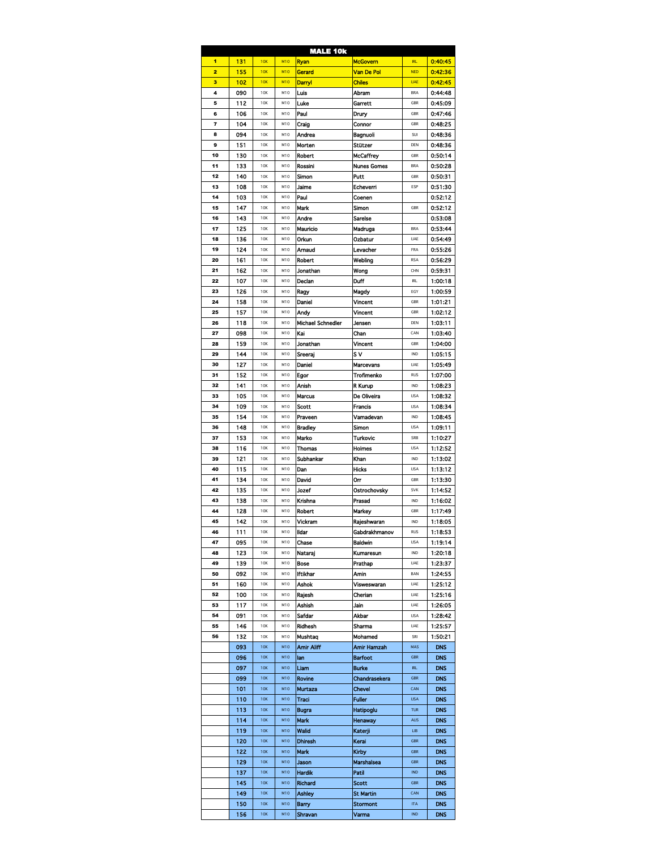| 1  |     |            |            | <u>MALE 10k</u>   |                    |             |            |
|----|-----|------------|------------|-------------------|--------------------|-------------|------------|
|    | 131 | 10K        | <b>M10</b> | Ryan              | <b>McGovern</b>    | <b>IRL</b>  | 0:40:45    |
|    |     |            |            |                   |                    |             |            |
| 2  | 155 | 10K        | <b>M10</b> | Gerard            | Van De Pol         | <b>NED</b>  | 0:42:36    |
| з  | 102 | 10K        | <b>M10</b> | Darryl            | <b>Chiles</b>      | <b>UAE</b>  | 0:42:45    |
| 4  | 090 | 10K        | M10        | Luis              | Abram              | <b>BRA</b>  | 0:44:48    |
|    |     |            |            |                   |                    |             |            |
| 5  | 112 | 10K        | M10        | Luke              | Garrett            | GBR         | 0:45:09    |
| 6  | 106 | 10K        | M10        | Paul              | Drury              | GBR         | 0:47:46    |
| 7  | 104 | 10K        | M10        | Craig             | Connor             | GBR         | 0:48:25    |
|    |     |            |            |                   |                    |             |            |
| 8  | 094 | 10K        | M10        | Andrea            | Bagnuoli           | SUI         | 0:48:36    |
| 9  | 151 | 10K        | M10        | Morten            | Stützer            | DEN         | 0:48:36    |
| 10 | 130 | 10K        | M10        | Robert            | McCaffrey          | GBR         | 0:50:14    |
|    |     |            |            |                   |                    |             |            |
| 11 | 133 | 10K        | M10        | Rossini           | <b>Nunes Gomes</b> | <b>BRA</b>  | 0:50:28    |
| 12 | 140 | 10K        | M10        | Simon             | Putt               | GBR         | 0:50:31    |
| 13 | 108 | 10K        | M10        | Jaime             | Echevern           | ESP         | 0:51:30    |
|    |     |            |            |                   |                    |             |            |
| 14 | 103 | 10K        | M10        | Paul              | Coenen             |             | 0:52:12    |
| 15 | 147 | 10K        | M10        | Mark              | Simon              | GBR         | 0:52:12    |
| 16 | 143 | 10K        | M10        | Andre             | Sareise            |             | 0:53:08    |
|    |     |            |            |                   |                    |             |            |
| 17 | 125 | 10K        | M10        | Mauricio          | Madruga            | <b>BRA</b>  | 0:53:44    |
| 18 | 136 | 10K        | M10        | Orkun             | Ozbatur            | UAE         | 0:54:49    |
| 19 | 124 | 10K        | M10        | Arnaud            | Levacher           | <b>FRA</b>  | 0:55:26    |
|    |     |            |            |                   |                    |             |            |
| 20 | 161 | 10K        | M10        | Robert            | Webling            | <b>RSA</b>  | 0:56:29    |
| 21 | 162 | 10K        | M10        | Jonathan          | Wong               | CHN         | 0:59:31    |
| 22 | 107 | 10K        | M10        | Declan            | Duff               | <b>IRL</b>  | 1:00:18    |
|    |     |            |            |                   |                    |             |            |
| 23 | 126 | 10K        | M10        | Ragy              | Magdy              | EGY         | 1:00:59    |
| 24 | 158 | 10K        | M10        | Daniel            | Vincent            | GBR         | 1:01:21    |
| 25 | 157 | 10K        | M10        | Andv              | Vincent            | GBR         | 1:02:12    |
|    |     |            |            |                   |                    |             |            |
| 26 | 118 | 10K        | M10        | Michael Schnedler | Jensen             | DEN         | 1:03:11    |
| 27 | 098 | 10K        | M10        | Kal               | Chan               | CAN         | 1:03:40    |
| 28 | 159 | 10K        | M10        | Jonathan          | Vincent            | GBR         | 1:04:00    |
|    |     |            |            |                   |                    |             |            |
| 29 | 144 | 10K        | M10        | Sreeral           | s٧                 | <b>IND</b>  | 1:05:15    |
| 30 | 127 | 10K        | M10        | Daniel            | Marcevans          | UAE         | 1:05:49    |
| 31 | 152 | 10K        | M10        | Egor              | Trofimenko         | <b>RUS</b>  | 1:07:00    |
|    |     |            |            |                   |                    |             |            |
| 32 | 141 | 10K        | M10        | Anish             | R Kurup            | <b>IND</b>  | 1:08:23    |
| 33 | 105 | 10K        | M10        | Marcus            | De Oliveira        | <b>USA</b>  | 1:08:32    |
| 34 | 109 | 10K        | M10        | Scott             | Francis            | <b>USA</b>  | 1:08:34    |
|    |     |            |            |                   |                    |             |            |
| 35 | 154 | 10K        | M10        | Praveen           | Vamadevan          | <b>IND</b>  | 1:08:45    |
| 36 | 148 | 10K        | M10        | Bradley           | Simon              | <b>USA</b>  | 1:09:11    |
| 37 | 153 | 10K        | M10        | Marko             | Turkovic           | SRB         | 1:10:27    |
|    |     |            |            |                   |                    |             |            |
| 38 | 116 | 10K        | M10        | Thomas            | Holmes             | <b>USA</b>  | 1:12:52    |
| 39 | 121 | 10K        | M10        | Subhankar         | Khan               | <b>IND</b>  | 1:13:02    |
| 40 | 115 | 10K        | M10        | Dan               | Hicks              | <b>USA</b>  | 1:13:12    |
|    |     |            |            |                   |                    |             |            |
| 41 | 134 | 10K        | M10        | David             | Oπ                 | GBR         | 1:13:30    |
| 42 | 135 | 10K        | M10        | Jozef             | Ostrochovsky       | <b>SVK</b>  | 1:14:52    |
| 43 | 138 | 10K        | M10        | Krishna           | Prasad             | IND         | 1:16:02    |
|    |     |            |            |                   |                    |             |            |
| 44 | 128 | 10K        | M10        | Robert            | Markey             | GBR         | 1:17:49    |
| 45 | 142 | 10K        | M10        | Vickram           | Rajeshwaran        | <b>IND</b>  | 1:18:05    |
| 46 | 111 | 10K        | M10        | lidar             | Gabdrakhmanov      | RUS         | 1:18:53    |
|    |     |            |            |                   |                    |             |            |
| 47 | 095 | 10K        | M10        | Chase             | Baldwin            | <b>USA</b>  | 1:19:14    |
| 48 | 123 | 10K        | M10        | Nataraj           | Kumaresun          | <b>IND</b>  | 1:20:18    |
| 49 | 139 | 10K        | M10        | Bose              | Prathap            | UAE         | 1:23:37    |
| 50 | 092 | 10K        | M10        | lftikhar          | Amin               | BAN         | 1:24:55    |
|    |     |            |            |                   |                    |             |            |
| 51 | 160 | 10K        |            |                   |                    |             |            |
|    |     |            | M10        | Ashok             | Visweswaran        | UAE         | 1:25:12    |
| 52 | 100 | 10K        | M10        | Rajesh            | Cherian            | UAE         | 1:25:16    |
|    | 117 | 10K        | M10        | Ashish            |                    | UAE         |            |
| 53 |     |            |            |                   | Jain               |             | 1:26:05    |
| 54 | 091 | 10K        | M10        | Safdar            | Akbar              | <b>USA</b>  | 1:28:42    |
| 55 | 146 | 10K        | M10        | Richesh           | Sharma             | UAE         | 1:25:57    |
| 56 | 132 | 10K        | M10        | Mushtaq           | Mohamed            | SRI         | 1:50:21    |
|    |     |            |            |                   |                    |             |            |
|    | 093 | 10K        | M10        | Amir Aliff        | Amir Hamzah        | MAS         | <b>DNS</b> |
|    | 096 | <b>10K</b> | <b>M10</b> | lan               | <b>Barfoot</b>     | <b>GBR</b>  | <b>DNS</b> |
|    | 097 | 10K        | M10        | Liam              | <b>Burke</b>       | IRL         | <b>DNS</b> |
|    |     |            |            |                   |                    |             |            |
|    | 099 | <b>10K</b> | <b>M10</b> | Rovine            | Chandrasekera      | <b>GBR</b>  | <b>DNS</b> |
|    | 101 | 10K        | M10        | Murtaza           | Chevel             | CAN         | <b>DNS</b> |
|    | 110 | <b>10K</b> | <b>M10</b> | Traci             | Fuller             | <b>USA</b>  | <b>DNS</b> |
|    |     |            |            |                   |                    |             |            |
|    | 113 | 10K        | M10        | Bugra             | Hatipoglu          | TUR         | <b>DNS</b> |
|    | 114 | <b>10K</b> | <b>M10</b> | Mark              | Henaway            | <b>AUS</b>  | <b>DNS</b> |
|    | 119 | 10K        | M10        | Walid             | Katerji            | ${\sf LIB}$ | <b>DNS</b> |
|    | 120 | <b>10K</b> | <b>M10</b> | Dhìresh           | Kerai              | <b>GBR</b>  | <b>DNS</b> |
|    |     |            |            |                   |                    |             |            |
|    | 122 | 10K        | M10        | Mark              | Kirby              | <b>GBR</b>  | <b>DNS</b> |
|    | 129 | <b>10K</b> | <b>M10</b> | Jason             | <b>Marshalsea</b>  | <b>GBR</b>  | <b>DNS</b> |
|    | 137 | 10K        | M10        | Hardik            | Patil              | $\sf IND$   | <b>DNS</b> |
|    |     |            |            |                   |                    |             |            |
|    | 145 | <b>10K</b> | <b>M10</b> | Richard           | Scott              | <b>GBR</b>  | <b>DNS</b> |
|    | 149 | 10K        | M10        | Ashley            | St Martin          | CAN         | <b>DNS</b> |
|    | 150 | <b>10K</b> | <b>M10</b> | Barry             | Stormont           | <b>ITA</b>  | <b>DNS</b> |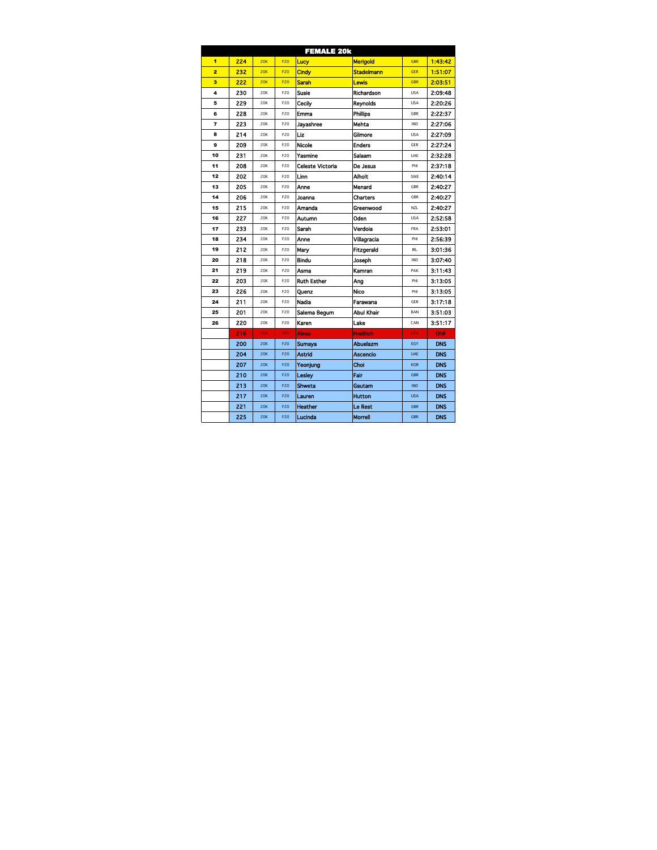| <b>FEMALE 20k</b> |     |            |            |                    |                   |            |            |
|-------------------|-----|------------|------------|--------------------|-------------------|------------|------------|
| 1                 | 224 | 20K        | <b>F20</b> | Lucy               | <b>Merigold</b>   | <b>GBR</b> | 1:43:42    |
| $\overline{2}$    | 232 | 20K        | <b>F20</b> | Cindv              | <b>Stadelmann</b> | <b>GER</b> | 1:51:07    |
| з                 | 222 | 20K        | <b>F20</b> | <b>Sarah</b>       | Lewis             | <b>GBR</b> | 2:03:51    |
| 4                 | 230 | 20K        | F20        | Susie              | Richardson        | <b>USA</b> | 2:09:48    |
| 5                 | 229 | 20K        | F20        | Cecilv             | Reynolds          | <b>USA</b> | 2:20:26    |
| 6                 | 228 | 20K        | F20        | Emma               | Phillips          | GBR        | 2:22:37    |
| 7                 | 223 | 20K        | F20        | Jayashree          | Mehta             | <b>IND</b> | 2:27:06    |
| 8                 | 214 | 20K        | F20        | Liz                | Gilmore           | <b>USA</b> | 2:27:09    |
| 9                 | 209 | 20K        | F20        | Nicole             | <b>Enders</b>     | GER        | 2:27:24    |
| 10                | 231 | <b>20K</b> | F20        | Yasmine            | Salaam            | UAE        | 2:32:28    |
| 11                | 208 | <b>20K</b> | F20        | Celeste Victoria   | De Jesus          | PHI        | 2:37:18    |
| 12                | 202 | 20K        | F20        | Linn               | Alholt            | SWE        | 2:40:14    |
| 13                | 205 | 20K        | F20        | Anne               | Menard            | <b>GBR</b> | 2:40:27    |
| 14                | 206 | <b>20K</b> | F20        | Joanna             | Charters          | <b>GBR</b> | 2:40:27    |
| 15                | 215 | <b>20K</b> | F20        | Amanda             | Greenwood         | <b>NZL</b> | 2:40:27    |
| 16                | 227 | 20K        | F20        | Autumn             | Oden              | <b>USA</b> | 2:52:58    |
| 17                | 233 | 20K        | F20        | Sarah              | Verdoia           | <b>FRA</b> | 2:53:01    |
| 18                | 234 | 20K        | F20        | Anne               | Villagracia       | PHI        | 2:56:39    |
| 19                | 212 | <b>20K</b> | F20        | Mary               | Fitzgerald        | <b>IRL</b> | 3:01:36    |
| 20                | 218 | 20K        | F20        | Bindu              | Joseph            | <b>IND</b> | 3:07:40    |
| 21                | 219 | 20K        | F20        | Asma               | Kamran            | PAK        | 3:11:43    |
| 22                | 203 | <b>20K</b> | F20        | <b>Ruth Esther</b> | Ang               | PHI        | 3:13:05    |
| 23                | 226 | <b>20K</b> | F20        | Quenz              | Nico              | PHI        | 3:13:05    |
| 24                | 211 | 20K        | F20        | Nadia              | Farawana          | GER        | 3:17:18    |
| 25                | 201 | 20K        | F20        | Salema Begum       | Abul Khair        | BAN        | 3:51:03    |
| 26                | 220 | 20K        | F20        | Karen              | Lake              | CAN        | 3:51:17    |
|                   | 216 | 20K        | <b>F20</b> | Alexa              | <b>Heidrich</b>   | <b>USA</b> | <b>DNF</b> |
|                   | 200 | 20K        | <b>F20</b> | <b>Sumaya</b>      | <b>Abuelazm</b>   | EGY        | <b>DNS</b> |
|                   | 204 | 20K        | <b>F20</b> | <b>Astrid</b>      | Ascencio          | <b>UAE</b> | <b>DNS</b> |
|                   | 207 | 20K        | F20        | Yeonjung           | Choi              | <b>KOR</b> | <b>DNS</b> |
|                   | 210 | 20K        | F20        | Lesley             | Fair              | <b>GBR</b> | <b>DNS</b> |
|                   | 213 | 20K        | F20        | Shweta             | Gautam            | <b>IND</b> | <b>DNS</b> |
|                   | 217 | 20K        | F20        | Lauren             | Hutton            | <b>USA</b> | <b>DNS</b> |
|                   | 221 | 20K        | F20        | <b>Heather</b>     | Le Rest           | <b>GBR</b> | <b>DNS</b> |
|                   | 225 | 20K        | F20        | Lucinda            | Morrell           | <b>GBR</b> | <b>DNS</b> |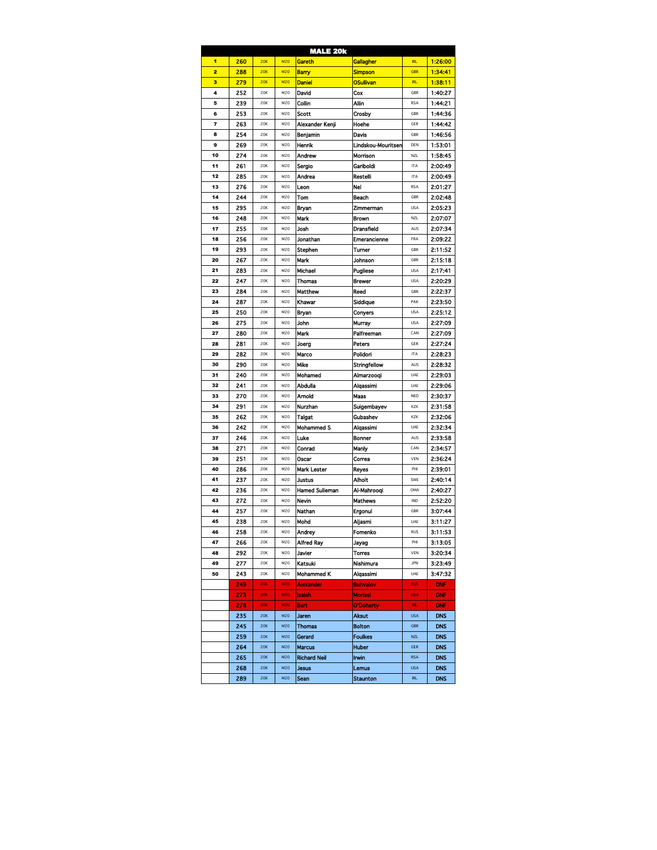|    |     |            |            | <b>MALE 20k</b>       |                    |             |            |
|----|-----|------------|------------|-----------------------|--------------------|-------------|------------|
| 1  | 260 | 20K        | <b>M20</b> | Gareth                | Gallagher          | <b>IRL</b>  | 1:26:00    |
| 2  | 288 | 20K        | <b>M20</b> | Barry                 | <b>Simpson</b>     | <b>GBR</b>  | 1:34:41    |
| з  | 279 | 20K        | <b>M20</b> |                       |                    | <b>IRL</b>  | 1:38:11    |
|    |     |            |            | <u>Daniel</u>         | <u>OSullivan</u>   |             |            |
| 4  | 252 | <b>20K</b> | M20        | David                 | Cox                | GBR         | 1:40:27    |
| 5  | 239 | 20K        | M20        | Collin                | Allin              | <b>RSA</b>  | 1:44:21    |
| 6  | 253 | 20K        | M20        | Scott                 | Crosby             | GBR         | 1:44:36    |
| 7  | 263 | 20K        | M20        | Alexander Kenji       | Hoehe              | GER         | 1:44:42    |
| 8  | 254 | 20K        | M20        | Benjamin              | Davis              | GBR         | 1:46:56    |
| 9  | 269 | 20K        | M20        | Henrik                | Lindskou-Mouritsen | DEN         | 1:53:01    |
| 10 | 274 | 20K        | M20        | Andrew                | Morrison           | <b>NZL</b>  | 1:58:45    |
|    |     |            |            |                       |                    |             |            |
| 11 | 261 | 20K        | M20        | Sergio                | Gariboldi          | ΙTΑ         | 2:00:49    |
| 12 | 285 | 20K        | M20        | Andrea                | Restelli           | <b>ITA</b>  | 2:00:49    |
| 13 | 276 | 20K        | M20        | Leon                  | Nel                | <b>RSA</b>  | 2:01:27    |
| 14 | 244 | 20K        | M20        | Tom                   | Beach              | GBR         | 2:02:48    |
| 15 | 295 | 20K        | M20        | Bryan                 | Zimmerman          | <b>USA</b>  | 2:05:23    |
| 16 | 248 | 20K        | M20        | Mark                  | Brown              | <b>NZL</b>  | 2:07:07    |
| 17 | 255 | <b>20K</b> | M20        | Josh                  | Dransfield         | AUS         | 2:07:34    |
| 18 | 256 | <b>20K</b> | M20        | Jonathan              | Emerancienne       | <b>FRA</b>  | 2:09:22    |
|    |     |            |            |                       |                    |             |            |
| 19 | 293 | 20K        | M20        | Stephen               | Turner             | GBR         | 2:11:52    |
| 20 | 267 | <b>20K</b> | M20        | Mark                  | Johnson            | GBR         | 2:15:18    |
| 21 | 283 | <b>20K</b> | M20        | Michael               | Pugliese           | <b>USA</b>  | 2:17:41    |
| 22 | 247 | <b>20K</b> | M20        | Thomas                | Brewer             | <b>USA</b>  | 2:20:29    |
| 23 | 284 | 20K        | M20        | Matthew               | Reed               | GBR         | 2:22:37    |
| 24 | 287 | <b>20K</b> | M20        | Khawar                | Siddique           | PAK         | 2:23:50    |
| 25 | 250 | 20K        | M20        | Bryan                 | Conyers            | <b>USA</b>  | 2:25:12    |
| 26 | 275 | 20K        | M20        | John                  | Murray             | <b>USA</b>  | 2:27.09    |
| 27 | 280 | 20K        | M20        | Mark                  | Palfreeman         | CAN         | 2:27:09    |
| 28 | 281 | <b>20K</b> | M20        | Joerg                 | Peters             | GER         | 2:27:24    |
| 29 | 282 | <b>20K</b> | M20        | Marco                 | Polidori           | <b>ITA</b>  | 2:28:23    |
|    |     |            |            |                       |                    |             |            |
| 30 | 290 | 20K        | M20        | Mike                  | Stringfellow       | AUS         | 2:28:32    |
| 31 | 240 | 20K        | M20        | Mohamed               | Almarzooqi         | UAE         | 2:29:03    |
| 32 | 241 | <b>20K</b> | M20        | Abdulla               | Alqassimi          | UAE         | 2:29:06    |
| 33 | 270 | 20K        | M20        | Arnold                | Maas               | <b>NED</b>  | 2:30:37    |
| 34 | 291 | <b>20K</b> | M20        | Nurzhan               | Suigembayev        | KZK         | 2:31:58    |
| 35 | 262 | 20K        | M20        | Talgat                | Gubashev           | KZK         | 2:32:06    |
| 36 | 242 | <b>20K</b> | M20        | Mohammed S            | Alqassimi          | UAE         | 2:32:34    |
| 37 | 246 | <b>20K</b> | M20        | Luke                  | Bonner             | AUS         | 2:33:58    |
| 38 | 271 | 20K        | M20        | Conrad                | Maniy              | CAN         | 2:34:57    |
| 39 | 251 | 20K        | M20        | Oscar                 | Correa             | VEN         | 2:36:24    |
| 40 | 286 | <b>20K</b> | M20        | Mark Lester           | Reyes              | PHI         | 2:39:01    |
| 41 | 237 | 20K        | M20        | Justus                | Alholt             | SWE         | 2:40:14    |
| 42 | 236 | 20K        | M20        | <b>Hamed Sulieman</b> | Al-Mahroogi        | OMA         | 2:40:27    |
|    |     |            |            |                       |                    |             |            |
| 43 | 272 | 20K        | M20        | Nevin                 | Mathows            | <b>IND</b>  | 2:52:20    |
| 44 | 257 | <b>20K</b> | M20        | Nathan                | Ergonul            | GBR         | 3:07:44    |
| 45 | 238 | <b>20K</b> | M20        | Mohd                  | Aljasmi            | <b>IJAF</b> | 3:11:27    |
| 46 | 258 | 20K        | M20        | Andrey                | Fomenko            | <b>RUS</b>  | 3:11:53    |
| 47 | 266 | 20K        | M20        | Alfred Ray            | Jayag              | PHI         | 3:13:05    |
| 48 | 292 | 20K        | M20        | Javier                | Torres             | VEN         | 3:20:34    |
| 49 | 277 | 20K        | M20        | Katsuki               | Nishimura          | JPN         | 3:23:49    |
| 50 | 243 | 20K        | M20        | Mohammed K            | Alqassimi          | UAE         | 3:47:32    |
|    | 249 | 20K        | <b>M20</b> | <u>Alexander</u>      | <b>Buhvalov</b>    | <b>RUS</b>  | <b>DNF</b> |
|    | 273 | <b>20K</b> | <b>M20</b> | Isaiah                | Moriasi            | <b>USA</b>  | DNF        |
|    | 278 | <b>20K</b> | <b>M20</b> | Bart                  | O'Doherty          | IRL.        | <b>DNF</b> |
|    | 235 | 20K        | M20        | Jaren                 | Aksut              | <b>USA</b>  | <b>DNS</b> |
|    | 245 | 20K        | M20        | Thomas                | Bolton             | <b>GBR</b>  | <b>DNS</b> |
|    |     |            |            |                       |                    |             |            |
|    | 259 | 20K        | M20        | Gerard                | Foulkes            | <b>NZL</b>  | <b>DNS</b> |
|    | 264 | 20K        | M20        | Marcus                | Huber              | ${\sf GER}$ | <b>DNS</b> |
|    | 265 | 20K        | M20        | Richard Neil          | Irwin              | <b>RSA</b>  | <b>DNS</b> |
|    | 268 | 20K        | M20        | Jesus                 | Lemus              | <b>USA</b>  | <b>DNS</b> |
|    | 289 | 20K        | <b>M20</b> | Sean                  | Staunton           | <b>IRL</b>  | <b>DNS</b> |